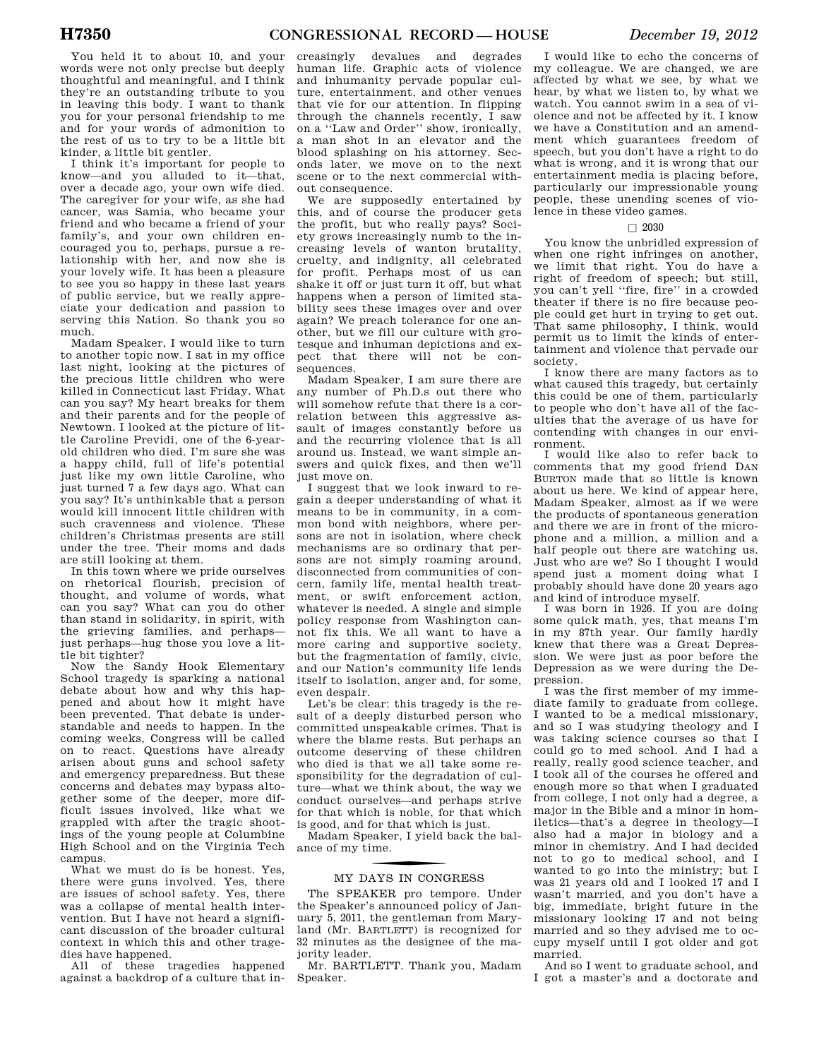You held it to about 10, and your words were not only precise but deeply thoughtful and meaningful, and I think they're an outstanding tribute to you in leaving this body. I want to thank you for your personal friendship to me and for your words of admonition to the rest of us to try to be a little bit kinder, a little bit gentler.

I think it's important for people to know—and you alluded to it—that, over a decade ago, your own wife died. The caregiver for your wife, as she had cancer, was Samia, who became your friend and who became a friend of your family's, and your own children encouraged you to, perhaps, pursue a relationship with her, and now she is your lovely wife. It has been a pleasure to see you so happy in these last years of public service, but we really appreciate your dedication and passion to serving this Nation. So thank you so much.

Madam Speaker, I would like to turn to another topic now. I sat in my office last night, looking at the pictures of the precious little children who were killed in Connecticut last Friday. What can you say? My heart breaks for them and their parents and for the people of Newtown. I looked at the picture of little Caroline Previdi, one of the 6-yearold children who died. I'm sure she was a happy child, full of life's potential just like my own little Caroline, who just turned 7 a few days ago. What can you say? It's unthinkable that a person would kill innocent little children with such cravenness and violence. These children's Christmas presents are still under the tree. Their moms and dads are still looking at them.

In this town where we pride ourselves on rhetorical flourish, precision of thought, and volume of words, what can you say? What can you do other than stand in solidarity, in spirit, with the grieving families, and perhaps just perhaps—hug those you love a little bit tighter?

Now the Sandy Hook Elementary School tragedy is sparking a national debate about how and why this happened and about how it might have been prevented. That debate is understandable and needs to happen. In the coming weeks, Congress will be called on to react. Questions have already arisen about guns and school safety and emergency preparedness. But these concerns and debates may bypass altogether some of the deeper, more difficult issues involved, like what we grappled with after the tragic shootings of the young people at Columbine High School and on the Virginia Tech campus.

What we must do is be honest. Yes, there were guns involved. Yes, there are issues of school safety. Yes, there was a collapse of mental health intervention. But I have not heard a significant discussion of the broader cultural context in which this and other tragedies have hannened.

All of these tragedies happened against a backdrop of a culture that in-

creasingly devalues and degrades human life. Graphic acts of violence and inhumanity pervade popular culture, entertainment, and other venues that vie for our attention. In flipping through the channels recently, I saw on a ''Law and Order'' show, ironically, a man shot in an elevator and the blood splashing on his attorney. Seconds later, we move on to the next scene or to the next commercial without consequence.

We are supposedly entertained by this, and of course the producer gets the profit, but who really pays? Society grows increasingly numb to the increasing levels of wanton brutality, cruelty, and indignity, all celebrated for profit. Perhaps most of us can shake it off or just turn it off, but what happens when a person of limited stability sees these images over and over again? We preach tolerance for one another, but we fill our culture with grotesque and inhuman depictions and expect that there will not be consequences

Madam Speaker, I am sure there are any number of Ph.D.s out there who will somehow refute that there is a correlation between this aggressive assault of images constantly before us and the recurring violence that is all around us. Instead, we want simple answers and quick fixes, and then we'll just move on.

I suggest that we look inward to regain a deeper understanding of what it means to be in community, in a common bond with neighbors, where persons are not in isolation, where check mechanisms are so ordinary that persons are not simply roaming around, disconnected from communities of concern, family life, mental health treatment, or swift enforcement action, whatever is needed. A single and simple policy response from Washington cannot fix this. We all want to have a more caring and supportive society, but the fragmentation of family, civic, and our Nation's community life lends itself to isolation, anger and, for some, even despair.

Let's be clear: this tragedy is the result of a deeply disturbed person who committed unspeakable crimes. That is where the blame rests. But perhaps an outcome deserving of these children who died is that we all take some responsibility for the degradation of culture—what we think about, the way we conduct ourselves—and perhaps strive for that which is noble, for that which is good, and for that which is just.

Madam Speaker, I yield back the balance of my time.

# f MY DAYS IN CONGRESS

The SPEAKER pro tempore. Under the Speaker's announced policy of January 5, 2011, the gentleman from Maryland (Mr. BARTLETT) is recognized for 32 minutes as the designee of the majority leader.

Mr. BARTLETT. Thank you, Madam Speaker.

I would like to echo the concerns of my colleague. We are changed, we are affected by what we see, by what we hear, by what we listen to, by what we watch. You cannot swim in a sea of violence and not be affected by it. I know we have a Constitution and an amendment which guarantees freedom of speech, but you don't have a right to do what is wrong, and it is wrong that our entertainment media is placing before, particularly our impressionable young people, these unending scenes of violence in these video games.

### $\Box$  2030

You know the unbridled expression of when one right infringes on another, we limit that right. You do have a right of freedom of speech; but still, you can't yell ''fire, fire'' in a crowded theater if there is no fire because people could get hurt in trying to get out. That same philosophy, I think, would permit us to limit the kinds of entertainment and violence that pervade our society.

I know there are many factors as to what caused this tragedy, but certainly this could be one of them, particularly to people who don't have all of the faculties that the average of us have for contending with changes in our environment.

I would like also to refer back to comments that my good friend DAN BURTON made that so little is known about us here. We kind of appear here, Madam Speaker, almost as if we were the products of spontaneous generation and there we are in front of the microphone and a million, a million and a half people out there are watching us. Just who are we? So I thought I would spend just a moment doing what I probably should have done 20 years ago and kind of introduce myself.

I was born in 1926. If you are doing some quick math, yes, that means I'm in my 87th year. Our family hardly knew that there was a Great Depression. We were just as poor before the Depression as we were during the Depression.

I was the first member of my immediate family to graduate from college. I wanted to be a medical missionary, and so I was studying theology and I was taking science courses so that I could go to med school. And I had a really, really good science teacher, and I took all of the courses he offered and enough more so that when I graduated from college, I not only had a degree, a major in the Bible and a minor in homiletics—that's a degree in theology—I also had a major in biology and a minor in chemistry. And I had decided not to go to medical school, and I wanted to go into the ministry; but I was 21 years old and I looked 17 and I wasn't married, and you don't have a big, immediate, bright future in the missionary looking 17 and not being married and so they advised me to occupy myself until I got older and got married.

And so I went to graduate school, and I got a master's and a doctorate and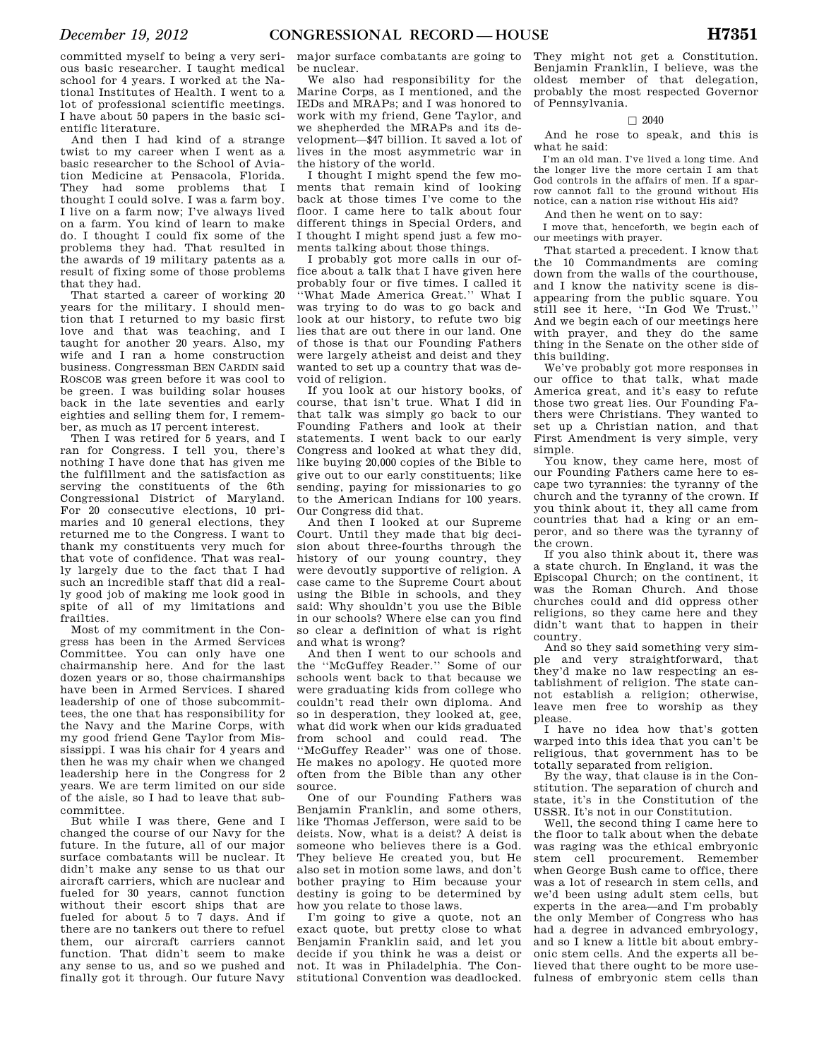committed myself to being a very serious basic researcher. I taught medical school for 4 years. I worked at the National Institutes of Health. I went to a lot of professional scientific meetings. I have about 50 papers in the basic scientific literature.

And then I had kind of a strange twist to my career when I went as a basic researcher to the School of Aviation Medicine at Pensacola, Florida. They had some problems that I thought I could solve. I was a farm boy. I live on a farm now; I've always lived on a farm. You kind of learn to make do. I thought I could fix some of the problems they had. That resulted in the awards of 19 military patents as a result of fixing some of those problems that they had.

That started a career of working 20 years for the military. I should mention that I returned to my basic first love and that was teaching, and I taught for another 20 years. Also, my wife and I ran a home construction business. Congressman BEN CARDIN said ROSCOE was green before it was cool to be green. I was building solar houses back in the late seventies and early eighties and selling them for, I remember, as much as 17 percent interest.

Then I was retired for 5 years, and I ran for Congress. I tell you, there's nothing I have done that has given me the fulfillment and the satisfaction as serving the constituents of the 6th Congressional District of Maryland. For 20 consecutive elections, 10 primaries and 10 general elections, they returned me to the Congress. I want to thank my constituents very much for that vote of confidence. That was really largely due to the fact that I had such an incredible staff that did a really good job of making me look good in spite of all of my limitations and frailties.

Most of my commitment in the Congress has been in the Armed Services Committee. You can only have one chairmanship here. And for the last dozen years or so, those chairmanships have been in Armed Services. I shared leadership of one of those subcommittees, the one that has responsibility for the Navy and the Marine Corps, with my good friend Gene Taylor from Mississippi. I was his chair for 4 years and then he was my chair when we changed leadership here in the Congress for 2 years. We are term limited on our side of the aisle, so I had to leave that subcommittee.

But while I was there, Gene and I changed the course of our Navy for the future. In the future, all of our major surface combatants will be nuclear. It didn't make any sense to us that our aircraft carriers, which are nuclear and fueled for 30 years, cannot function without their escort ships that are fueled for about 5 to 7 days. And if there are no tankers out there to refuel them, our aircraft carriers cannot function. That didn't seem to make any sense to us, and so we pushed and finally got it through. Our future Navy

major surface combatants are going to be nuclear.

We also had responsibility for the Marine Corps, as I mentioned, and the IEDs and MRAPs; and I was honored to work with my friend, Gene Taylor, and we shepherded the MRAPs and its development—\$47 billion. It saved a lot of lives in the most asymmetric war in the history of the world.

I thought I might spend the few moments that remain kind of looking back at those times I've come to the floor. I came here to talk about four different things in Special Orders, and I thought I might spend just a few moments talking about those things.

I probably got more calls in our office about a talk that I have given here probably four or five times. I called it ''What Made America Great.'' What I was trying to do was to go back and look at our history, to refute two big lies that are out there in our land. One of those is that our Founding Fathers were largely atheist and deist and they wanted to set up a country that was devoid of religion.

If you look at our history books, of course, that isn't true. What I did in that talk was simply go back to our Founding Fathers and look at their statements. I went back to our early Congress and looked at what they did, like buying 20,000 copies of the Bible to give out to our early constituents; like sending, paying for missionaries to go to the American Indians for 100 years. Our Congress did that.

And then I looked at our Supreme Court. Until they made that big decision about three-fourths through the history of our young country, they were devoutly supportive of religion. A case came to the Supreme Court about using the Bible in schools, and they said: Why shouldn't you use the Bible in our schools? Where else can you find so clear a definition of what is right and what is wrong?

And then I went to our schools and the ''McGuffey Reader.'' Some of our schools went back to that because we were graduating kids from college who couldn't read their own diploma. And so in desperation, they looked at, gee, what did work when our kids graduated from school and could read. The ''McGuffey Reader'' was one of those. He makes no apology. He quoted more often from the Bible than any other source.

One of our Founding Fathers was Benjamin Franklin, and some others, like Thomas Jefferson, were said to be deists. Now, what is a deist? A deist is someone who believes there is a God. They believe He created you, but He also set in motion some laws, and don't bother praying to Him because your destiny is going to be determined by how you relate to those laws.

I'm going to give a quote, not an exact quote, but pretty close to what Benjamin Franklin said, and let you decide if you think he was a deist or not. It was in Philadelphia. The Constitutional Convention was deadlocked.

They might not get a Constitution. Benjamin Franklin, I believe, was the oldest member of that delegation, probably the most respected Governor of Pennsylvania.

### $\Box$  2040

And he rose to speak, and this is what he said:

I'm an old man. I've lived a long time. And the longer live the more certain I am that God controls in the affairs of men. If a sparrow cannot fall to the ground without His notice, can a nation rise without His aid?

And then he went on to say:

I move that, henceforth, we begin each of our meetings with prayer.

That started a precedent. I know that the 10 Commandments are coming down from the walls of the courthouse, and I know the nativity scene is disappearing from the public square. You still see it here, ''In God We Trust.'' And we begin each of our meetings here with prayer, and they do the same thing in the Senate on the other side of this building.

We've probably got more responses in our office to that talk, what made America great, and it's easy to refute those two great lies. Our Founding Fathers were Christians. They wanted to set up a Christian nation, and that First Amendment is very simple, very simple.

You know, they came here, most of our Founding Fathers came here to escape two tyrannies: the tyranny of the church and the tyranny of the crown. If you think about it, they all came from countries that had a king or an emperor, and so there was the tyranny of the crown.

If you also think about it, there was a state church. In England, it was the Episcopal Church; on the continent, it was the Roman Church. And those churches could and did oppress other religions, so they came here and they didn't want that to happen in their country.

And so they said something very simple and very straightforward, that they'd make no law respecting an establishment of religion. The state cannot establish a religion; otherwise, leave men free to worship as they please.

I have no idea how that's gotten warped into this idea that you can't be religious, that government has to be totally separated from religion.

By the way, that clause is in the Constitution. The separation of church and state, it's in the Constitution of the USSR. It's not in our Constitution.

Well, the second thing I came here to the floor to talk about when the debate was raging was the ethical embryonic stem cell procurement. Remember when George Bush came to office, there was a lot of research in stem cells, and we'd been using adult stem cells, but experts in the area—and I'm probably the only Member of Congress who has had a degree in advanced embryology, and so I knew a little bit about embryonic stem cells. And the experts all believed that there ought to be more usefulness of embryonic stem cells than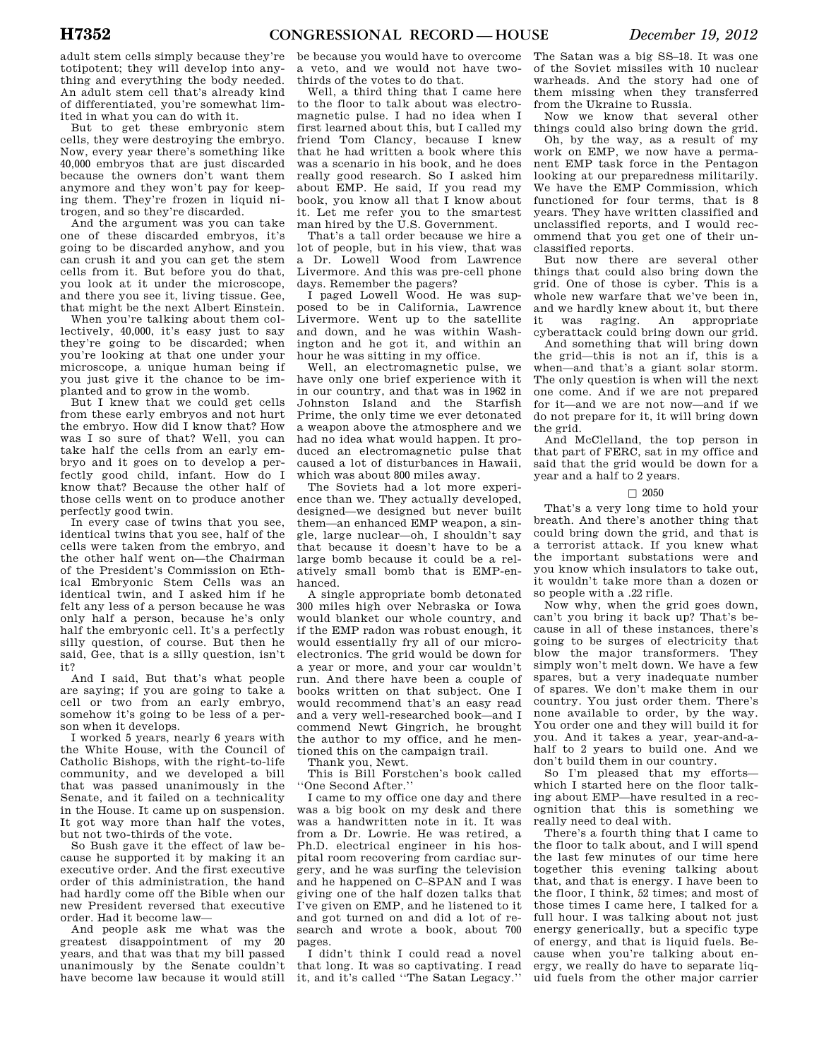adult stem cells simply because they're totipotent; they will develop into anything and everything the body needed. An adult stem cell that's already kind of differentiated, you're somewhat limited in what you can do with it.

But to get these embryonic stem cells, they were destroying the embryo. Now, every year there's something like 40,000 embryos that are just discarded because the owners don't want them anymore and they won't pay for keeping them. They're frozen in liquid nitrogen, and so they're discarded.

And the argument was you can take one of these discarded embryos, it's going to be discarded anyhow, and you can crush it and you can get the stem cells from it. But before you do that, you look at it under the microscope, and there you see it, living tissue. Gee, that might be the next Albert Einstein.

When you're talking about them collectively, 40,000, it's easy just to say they're going to be discarded; when you're looking at that one under your microscope, a unique human being if you just give it the chance to be implanted and to grow in the womb.

But I knew that we could get cells from these early embryos and not hurt the embryo. How did I know that? How was I so sure of that? Well, you can take half the cells from an early embryo and it goes on to develop a perfectly good child, infant. How do I know that? Because the other half of those cells went on to produce another perfectly good twin.

In every case of twins that you see, identical twins that you see, half of the cells were taken from the embryo, and the other half went on—the Chairman of the President's Commission on Ethical Embryonic Stem Cells was an identical twin, and I asked him if he felt any less of a person because he was only half a person, because he's only half the embryonic cell. It's a perfectly silly question, of course. But then he said, Gee, that is a silly question, isn't it?

And I said, But that's what people are saying; if you are going to take a cell or two from an early embryo, somehow it's going to be less of a person when it develops.

I worked 5 years, nearly 6 years with the White House, with the Council of Catholic Bishops, with the right-to-life community, and we developed a bill that was passed unanimously in the Senate, and it failed on a technicality in the House. It came up on suspension. It got way more than half the votes, but not two-thirds of the vote.

So Bush gave it the effect of law because he supported it by making it an executive order. And the first executive order of this administration, the hand had hardly come off the Bible when our new President reversed that executive order. Had it become law—

And people ask me what was the greatest disappointment of my 20 years, and that was that my bill passed unanimously by the Senate couldn't have become law because it would still

be because you would have to overcome a veto, and we would not have twothirds of the votes to do that.

Well, a third thing that I came here to the floor to talk about was electromagnetic pulse. I had no idea when I first learned about this, but I called my friend Tom Clancy, because I knew that he had written a book where this was a scenario in his book, and he does really good research. So I asked him about EMP. He said, If you read my book, you know all that I know about it. Let me refer you to the smartest man hired by the U.S. Government.

That's a tall order because we hire a lot of people, but in his view, that was a Dr. Lowell Wood from Lawrence Livermore. And this was pre-cell phone days. Remember the pagers?

I paged Lowell Wood. He was supposed to be in California, Lawrence Livermore. Went up to the satellite and down, and he was within Washington and he got it, and within an hour he was sitting in my office.

Well, an electromagnetic pulse, we have only one brief experience with it in our country, and that was in 1962 in Johnston Island and the Starfish Prime, the only time we ever detonated a weapon above the atmosphere and we had no idea what would happen. It produced an electromagnetic pulse that caused a lot of disturbances in Hawaii, which was about 800 miles away.

The Soviets had a lot more experience than we. They actually developed, designed—we designed but never built them—an enhanced EMP weapon, a single, large nuclear—oh, I shouldn't say that because it doesn't have to be a large bomb because it could be a relatively small bomb that is EMP-enhanced.

A single appropriate bomb detonated 300 miles high over Nebraska or Iowa would blanket our whole country, and if the EMP radon was robust enough, it would essentially fry all of our microelectronics. The grid would be down for a year or more, and your car wouldn't run. And there have been a couple of books written on that subject. One I would recommend that's an easy read and a very well-researched book—and I commend Newt Gingrich, he brought the author to my office, and he mentioned this on the campaign trail.

Thank you, Newt.

This is Bill Forstchen's book called ''One Second After.''

I came to my office one day and there was a big book on my desk and there was a handwritten note in it. It was from a Dr. Lowrie. He was retired, a Ph.D. electrical engineer in his hospital room recovering from cardiac surgery, and he was surfing the television and he happened on C–SPAN and I was giving one of the half dozen talks that I've given on EMP, and he listened to it and got turned on and did a lot of research and wrote a book, about 700 pages.

I didn't think I could read a novel that long. It was so captivating. I read it, and it's called ''The Satan Legacy.''

The Satan was a big SS–18. It was one of the Soviet missiles with 10 nuclear warheads. And the story had one of them missing when they transferred from the Ukraine to Russia.

Now we know that several other things could also bring down the grid.

Oh, by the way, as a result of my work on EMP, we now have a permanent EMP task force in the Pentagon looking at our preparedness militarily. We have the EMP Commission, which functioned for four terms, that is 8 years. They have written classified and unclassified reports, and I would recommend that you get one of their unclassified reports.

But now there are several other things that could also bring down the grid. One of those is cyber. This is a whole new warfare that we've been in, and we hardly knew about it, but there it was raging. An appropriate cyberattack could bring down our grid.

And something that will bring down the grid—this is not an if, this is a when—and that's a giant solar storm. The only question is when will the next one come. And if we are not prepared for it—and we are not now—and if we do not prepare for it, it will bring down the grid.

And McClelland, the top person in that part of FERC, sat in my office and said that the grid would be down for a year and a half to 2 years.

### $\Box$  2050

That's a very long time to hold your breath. And there's another thing that could bring down the grid, and that is a terrorist attack. If you knew what the important substations were and you know which insulators to take out, it wouldn't take more than a dozen or so people with a .22 rifle.

Now why, when the grid goes down, can't you bring it back up? That's because in all of these instances, there's going to be surges of electricity that blow the major transformers. They simply won't melt down. We have a few spares, but a very inadequate number of spares. We don't make them in our country. You just order them. There's none available to order, by the way. You order one and they will build it for you. And it takes a year, year-and-ahalf to 2 years to build one. And we don't build them in our country.

So I'm pleased that my efforts which I started here on the floor talking about EMP—have resulted in a recognition that this is something we really need to deal with.

There's a fourth thing that I came to the floor to talk about, and I will spend the last few minutes of our time here together this evening talking about that, and that is energy. I have been to the floor, I think, 52 times; and most of those times I came here, I talked for a full hour. I was talking about not just energy generically, but a specific type of energy, and that is liquid fuels. Because when you're talking about energy, we really do have to separate liquid fuels from the other major carrier